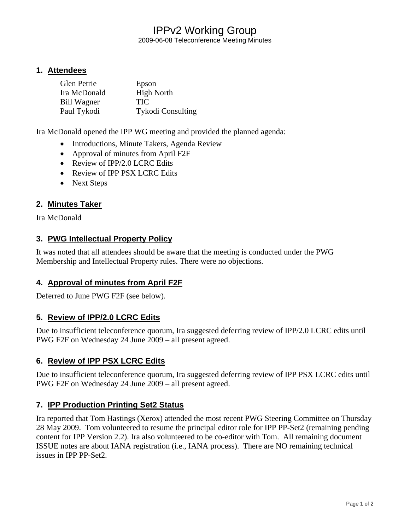# IPPv2 Working Group

2009-06-08 Teleconference Meeting Minutes

#### **1. Attendees**

| Glen Petrie  | Epson                    |
|--------------|--------------------------|
| Ira McDonald | <b>High North</b>        |
| Bill Wagner  | <b>TIC</b>               |
| Paul Tykodi  | <b>Tykodi Consulting</b> |

Ira McDonald opened the IPP WG meeting and provided the planned agenda:

- Introductions, Minute Takers, Agenda Review
- Approval of minutes from April F2F
- Review of IPP/2.0 LCRC Edits
- Review of IPP PSX LCRC Edits
- Next Steps

## **2. Minutes Taker**

Ira McDonald

#### **3. PWG Intellectual Property Policy**

It was noted that all attendees should be aware that the meeting is conducted under the PWG Membership and Intellectual Property rules. There were no objections.

#### **4. Approval of minutes from April F2F**

Deferred to June PWG F2F (see below).

### **5. Review of IPP/2.0 LCRC Edits**

Due to insufficient teleconference quorum, Ira suggested deferring review of IPP/2.0 LCRC edits until PWG F2F on Wednesday 24 June 2009 – all present agreed.

#### **6. Review of IPP PSX LCRC Edits**

Due to insufficient teleconference quorum, Ira suggested deferring review of IPP PSX LCRC edits until PWG F2F on Wednesday 24 June 2009 – all present agreed.

#### **7. IPP Production Printing Set2 Status**

Ira reported that Tom Hastings (Xerox) attended the most recent PWG Steering Committee on Thursday 28 May 2009. Tom volunteered to resume the principal editor role for IPP PP-Set2 (remaining pending content for IPP Version 2.2). Ira also volunteered to be co-editor with Tom. All remaining document ISSUE notes are about IANA registration (i.e., IANA process). There are NO remaining technical issues in IPP PP-Set2.